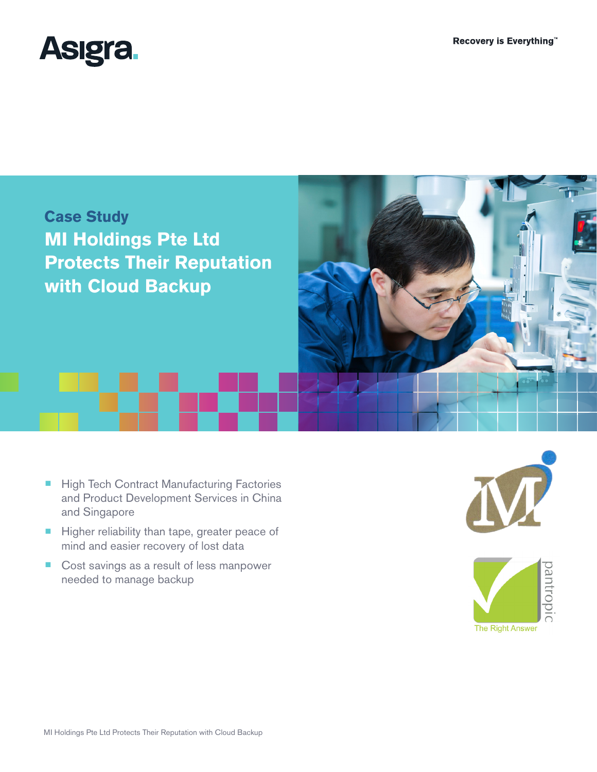



- High Tech Contract Manufacturing Factories and Product Development Services in China and Singapore
- Higher reliability than tape, greater peace of mind and easier recovery of lost data
- Cost savings as a result of less manpower needed to manage backup



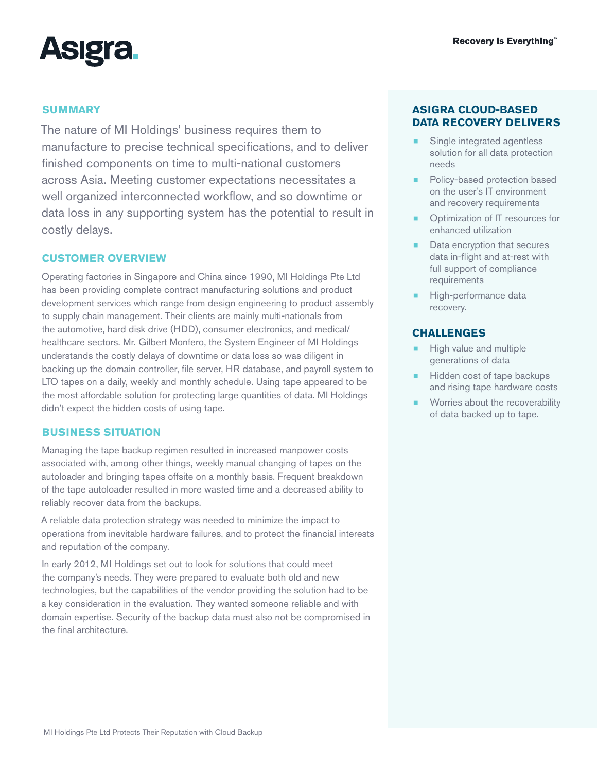

# **SUMMARY**

The nature of MI Holdings' business requires them to manufacture to precise technical specifications, and to deliver finished components on time to multi-national customers across Asia. Meeting customer expectations necessitates a well organized interconnected workflow, and so downtime or data loss in any supporting system has the potential to result in costly delays.

### **CUSTOMER OVERVIEW**

Operating factories in Singapore and China since 1990, MI Holdings Pte Ltd has been providing complete contract manufacturing solutions and product development services which range from design engineering to product assembly to supply chain management. Their clients are mainly multi-nationals from the automotive, hard disk drive (HDD), consumer electronics, and medical/ healthcare sectors. Mr. Gilbert Monfero, the System Engineer of MI Holdings understands the costly delays of downtime or data loss so was diligent in backing up the domain controller, file server, HR database, and payroll system to LTO tapes on a daily, weekly and monthly schedule. Using tape appeared to be the most affordable solution for protecting large quantities of data. MI Holdings didn't expect the hidden costs of using tape.

#### **BUSINESS SITUATION**

Managing the tape backup regimen resulted in increased manpower costs associated with, among other things, weekly manual changing of tapes on the autoloader and bringing tapes offsite on a monthly basis. Frequent breakdown of the tape autoloader resulted in more wasted time and a decreased ability to reliably recover data from the backups.

A reliable data protection strategy was needed to minimize the impact to operations from inevitable hardware failures, and to protect the financial interests and reputation of the company.

In early 2012, MI Holdings set out to look for solutions that could meet the company's needs. They were prepared to evaluate both old and new technologies, but the capabilities of the vendor providing the solution had to be a key consideration in the evaluation. They wanted someone reliable and with domain expertise. Security of the backup data must also not be compromised in the final architecture.

# **ASIGRA CLOUD-BASED DATA RECOVERY DELIVERS**

- Single integrated agentless solution for all data protection needs
- Policy-based protection based on the user's IT environment and recovery requirements
- Optimization of IT resources for enhanced utilization
- Data encryption that secures data in-flight and at-rest with full support of compliance requirements
- High-performance data recovery.

# **CHALLENGES**

- High value and multiple generations of data
- Hidden cost of tape backups and rising tape hardware costs
- ¾ Worries about the recoverability of data backed up to tape.